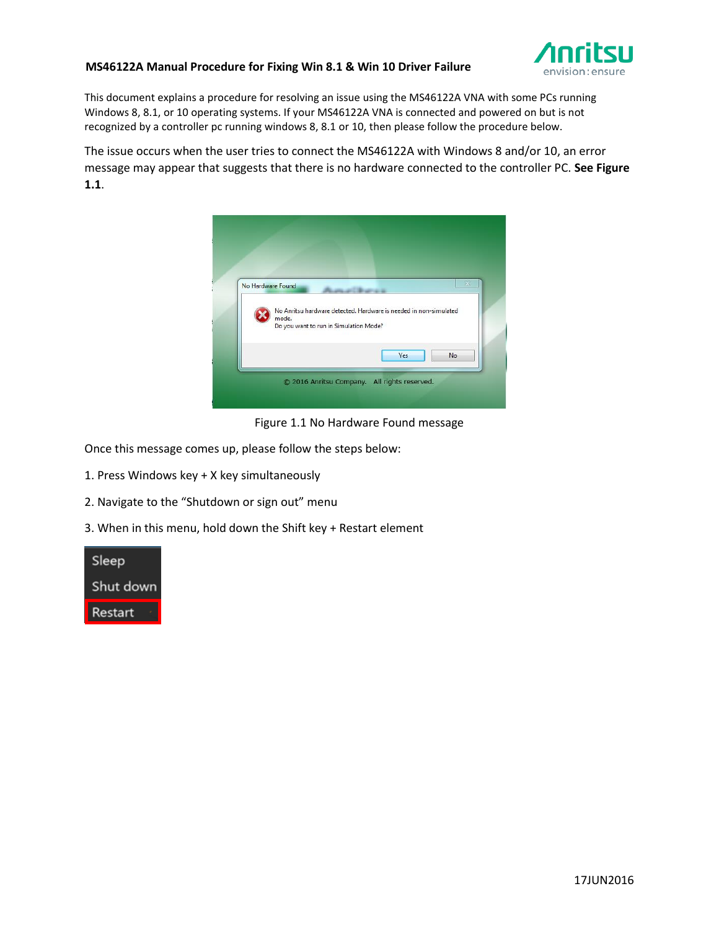## **MS46122A Manual Procedure for Fixing Win 8.1 & Win 10 Driver Failure**



This document explains a procedure for resolving an issue using the MS46122A VNA with some PCs running Windows 8, 8.1, or 10 operating systems. If your MS46122A VNA is connected and powered on but is not recognized by a controller pc running windows 8, 8.1 or 10, then please follow the procedure below.

The issue occurs when the user tries to connect the MS46122A with Windows 8 and/or 10, an error message may appear that suggests that there is no hardware connected to the controller PC. **See Figure 1.1**.



Figure 1.1 No Hardware Found message

Once this message comes up, please follow the steps below:

- 1. Press Windows key + X key simultaneously
- 2. Navigate to the "Shutdown or sign out" menu
- 3. When in this menu, hold down the Shift key + Restart element

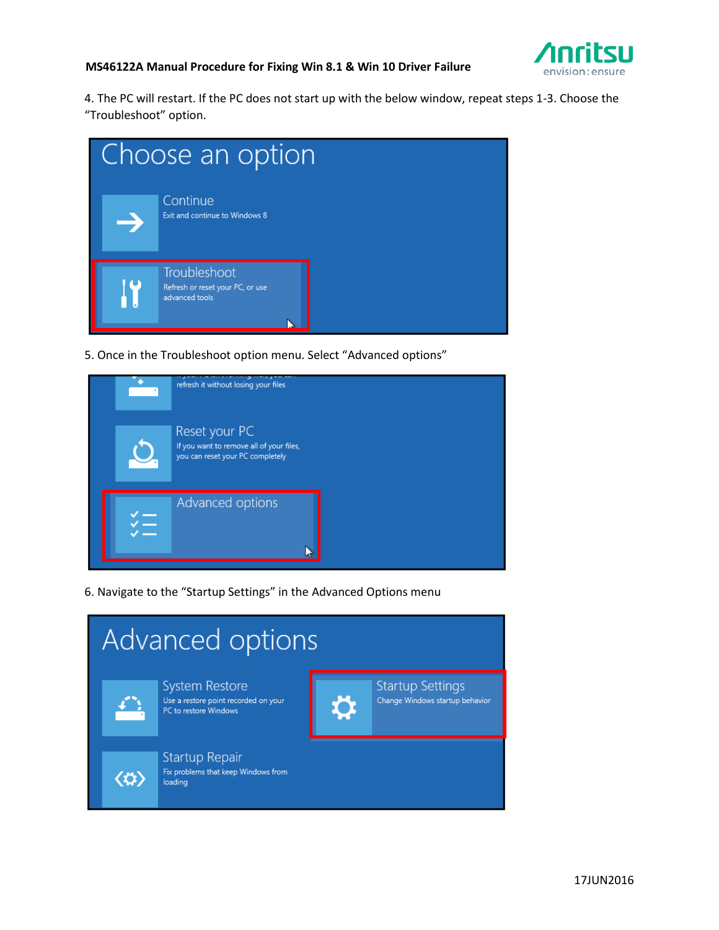

## **MS46122A Manual Procedure for Fixing Win 8.1 & Win 10 Driver Failure**

4. The PC will restart. If the PC does not start up with the below window, repeat steps 1-3. Choose the "Troubleshoot" option.



5. Once in the Troubleshoot option menu. Select "Advanced options"

| refresh it without losing your files                                                          |
|-----------------------------------------------------------------------------------------------|
| Reset your PC<br>If you want to remove all of your files,<br>you can reset your PC completely |
| Advanced options                                                                              |

6. Navigate to the "Startup Settings" in the Advanced Options menu

| Advanced options |                                       |                                                                                        |   |                                                            |
|------------------|---------------------------------------|----------------------------------------------------------------------------------------|---|------------------------------------------------------------|
|                  |                                       | <b>System Restore</b><br>Use a restore point recorded on your<br>PC to restore Windows | O | <b>Startup Settings</b><br>Change Windows startup behavior |
|                  | $\langle \boldsymbol{\omega} \rangle$ | Startup Repair<br>Fix problems that keep Windows from<br>loading                       |   |                                                            |